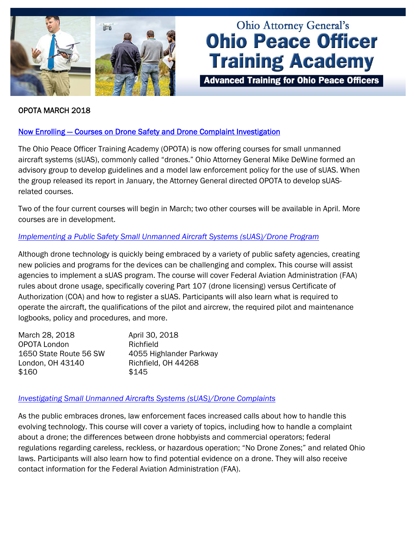

# **Ohio Attorney General's Ohio Peace Officer Training Academy**

**Advanced Training for Ohio Peace Officers** 

## OPOTA MARCH 2018

# [Now Enrolling — Courses on Drone Safety and Drone Complaint Investigation](http://www.ohioattorneygeneral.gov/Media/Newsletters/Ohio-Peace-Officer-Training-Academy-email-newslett/March-2018/Now-Enrolling-%E2%80%94-Courses-on-Drone-Safety-and-Drone)

The Ohio Peace Officer Training Academy (OPOTA) is now offering courses for small unmanned aircraft systems (sUAS), commonly called "drones." Ohio Attorney General Mike DeWine formed an advisory group to develop guidelines and a model law enforcement policy for the use of sUAS. When the group released its report in January, the Attorney General directed OPOTA to develop sUASrelated courses.

Two of the four current courses will begin in March; two other courses will be available in April. More courses are in development.

## *[Implementing a Public Safety Small Unmanned Aircraft Systems \(sUAS\)/Drone Program](http://www.ohioattorneygeneral.gov/Law-Enforcement/Ohio-Peace-Officer-Training-Academy/Course-Catalog/Course-Categories/Unmanned-Aircraft-Systems-Courses#OPOTA1069)*

Although drone technology is quickly being embraced by a variety of public safety agencies, creating new policies and programs for the devices can be challenging and complex. This course will assist agencies to implement a sUAS program. The course will cover Federal Aviation Administration (FAA) rules about drone usage, specifically covering Part 107 (drone licensing) versus Certificate of Authorization (COA) and how to register a sUAS. Participants will also learn what is required to operate the aircraft, the qualifications of the pilot and aircrew, the required pilot and maintenance logbooks, policy and procedures, and more.

| March 28, 2018         | April 30, 2018          |
|------------------------|-------------------------|
| <b>OPOTA London</b>    | Richfield               |
| 1650 State Route 56 SW | 4055 Highlander Parkway |
| London, OH 43140       | Richfield, OH 44268     |
| \$160                  | \$145                   |

#### *[Investigating Small Unmanned Aircrafts Systems \(sUAS\)/Drone Complaints](http://www.ohioattorneygeneral.gov/Law-Enforcement/Ohio-Peace-Officer-Training-Academy/Course-Catalog/Course-Categories/Unmanned-Aircraft-Systems-Courses#OPOTA1072)*

As the public embraces drones, law enforcement faces increased calls about how to handle this evolving technology. This course will cover a variety of topics, including how to handle a complaint about a drone; the differences between drone hobbyists and commercial operators; federal regulations regarding careless, reckless, or hazardous operation; "No Drone Zones;" and related Ohio laws. Participants will also learn how to find potential evidence on a drone. They will also receive contact information for the Federal Aviation Administration (FAA).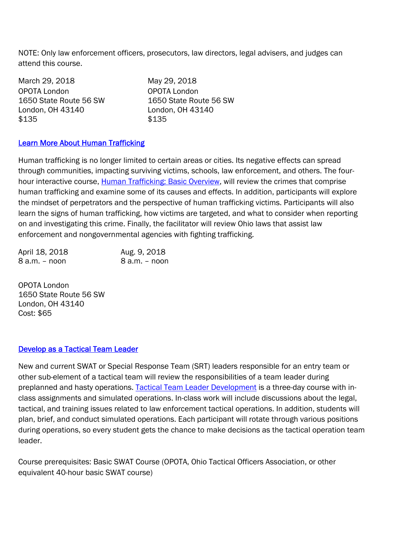NOTE: Only law enforcement officers, prosecutors, law directors, legal advisers, and judges can attend this course.

| March 29, 2018         | May 29, 2018           |
|------------------------|------------------------|
| OPOTA London           | OPOTA London           |
| 1650 State Route 56 SW | 1650 State Route 56 SW |
| London, OH 43140       | London, OH 43140       |
| \$135                  | \$135                  |

# [Learn More About Human Trafficking](http://www.ohioattorneygeneral.gov/Media/Newsletters/Ohio-Peace-Officer-Training-Academy-email-newslett/March-2018/Learn-More-About-Human-Trafficking)

Human trafficking is no longer limited to certain areas or cities. Its negative effects can spread through communities, impacting surviving victims, schools, law enforcement, and others. The four-hour interactive course, [Human Trafficking: Basic Overview](http://www.ohioattorneygeneral.gov/Law-Enforcement/Ohio-Peace-Officer-Training-Academy/Course-Catalog/Course-Search.aspx?searchtext=human+trafficking&searchmode=exactphrase), will review the crimes that comprise human trafficking and examine some of its causes and effects. In addition, participants will explore the mindset of perpetrators and the perspective of human trafficking victims. Participants will also learn the signs of human trafficking, how victims are targeted, and what to consider when reporting on and investigating this crime. Finally, the facilitator will review Ohio laws that assist law enforcement and nongovernmental agencies with fighting trafficking.

| April 18, 2018 | Aug. 9, 2018  |
|----------------|---------------|
| 8 a.m. – noon  | 8 a.m. – noon |

OPOTA London 1650 State Route 56 SW London, OH 43140 Cost: \$65

# [Develop as a Tactical Team Leader](http://www.ohioattorneygeneral.gov/Media/Newsletters/Ohio-Peace-Officer-Training-Academy-email-newslett/March-2018/Develop-as-a-Tactical-Team-Leader)

New and current SWAT or Special Response Team (SRT) leaders responsible for an entry team or other sub-element of a tactical team will review the responsibilities of a team leader during preplanned and hasty operations. [Tactical Team Leader Development](http://www.ohioattorneygeneral.gov/Law-Enforcement/Ohio-Peace-Officer-Training-Academy/Course-Catalog/Course-Categories/Special-Operations-Courses#OPOTA741) is a three-day course with inclass assignments and simulated operations. In-class work will include discussions about the legal, tactical, and training issues related to law enforcement tactical operations. In addition, students will plan, brief, and conduct simulated operations. Each participant will rotate through various positions during operations, so every student gets the chance to make decisions as the tactical operation team leader.

Course prerequisites: Basic SWAT Course (OPOTA, Ohio Tactical Officers Association, or other equivalent 40-hour basic SWAT course)